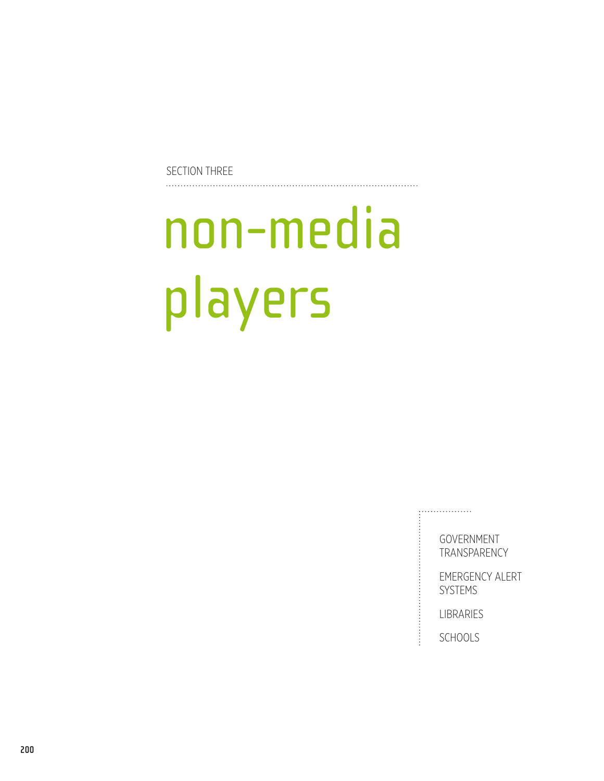Section Three

# non-media players

**GOVERNMENT TRANSPARENCY** 

Emergency Alert **SYSTEMS** 

**LIBRARIES** 

. . . . . . . . . . . . . . . . .

**SCHOOLS**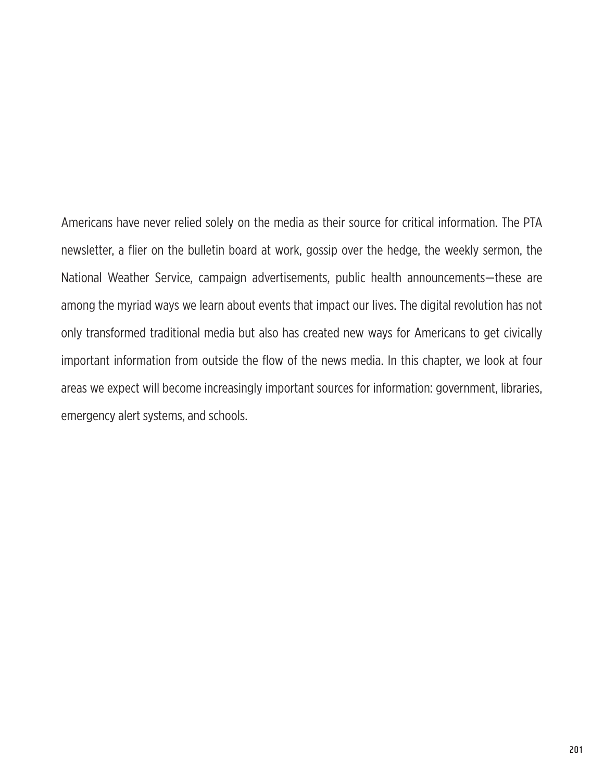Americans have never relied solely on the media as their source for critical information. The PTA newsletter, a flier on the bulletin board at work, gossip over the hedge, the weekly sermon, the National Weather Service, campaign advertisements, public health announcements—these are among the myriad ways we learn about events that impact our lives. The digital revolution has not only transformed traditional media but also has created new ways for Americans to get civically important information from outside the flow of the news media. In this chapter, we look at four areas we expect will become increasingly important sources for information: government, libraries, emergency alert systems, and schools.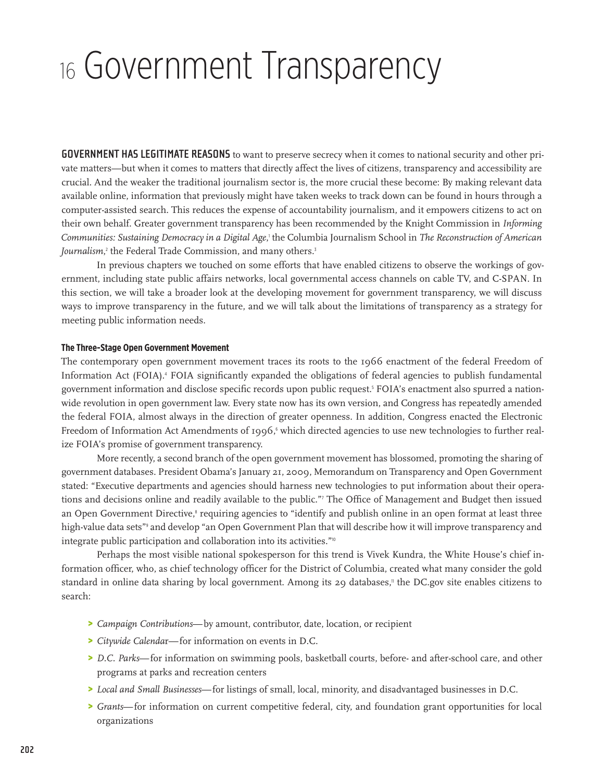# <sup>16</sup> Government Transparency

**Government has legitimate reasons** to want to preserve secrecy when it comes to national security and other private matters—but when it comes to matters that directly affect the lives of citizens, transparency and accessibility are crucial. And the weaker the traditional journalism sector is, the more crucial these become: By making relevant data available online, information that previously might have taken weeks to track down can be found in hours through a computer-assisted search. This reduces the expense of accountability journalism, and it empowers citizens to act on their own behalf. Greater government transparency has been recommended by the Knight Commission in *Informing Communities: Sustaining Democracy in a Digital Age*, 1 the Columbia Journalism School in *The Reconstruction of American*  Journalism,<sup>2</sup> the Federal Trade Commission, and many others.<sup>3</sup>

In previous chapters we touched on some efforts that have enabled citizens to observe the workings of government, including state public affairs networks, local governmental access channels on cable TV, and C-SPAN. In this section, we will take a broader look at the developing movement for government transparency, we will discuss ways to improve transparency in the future, and we will talk about the limitations of transparency as a strategy for meeting public information needs.

#### **The Three-Stage Open Government Movement**

The contemporary open government movement traces its roots to the 1966 enactment of the federal Freedom of Information Act (FOIA).<sup>4</sup> FOIA significantly expanded the obligations of federal agencies to publish fundamental government information and disclose specific records upon public request.<sup>5</sup> FOIA's enactment also spurred a nationwide revolution in open government law. Every state now has its own version, and Congress has repeatedly amended the federal FOIA, almost always in the direction of greater openness. In addition, Congress enacted the Electronic Freedom of Information Act Amendments of 1996,§ which directed agencies to use new technologies to further realize FOIA's promise of government transparency.

More recently, a second branch of the open government movement has blossomed, promoting the sharing of government databases. President Obama's January 21, 2009, Memorandum on Transparency and Open Government stated: "Executive departments and agencies should harness new technologies to put information about their operations and decisions online and readily available to the public."<sup>7</sup> The Office of Management and Budget then issued an Open Government Directive,<sup>8</sup> requiring agencies to "identify and publish online in an open format at least three high-value data sets"<sup>,</sup> and develop "an Open Government Plan that will describe how it will improve transparency and integrate public participation and collaboration into its activities."<sup>10</sup>

Perhaps the most visible national spokesperson for this trend is Vivek Kundra, the White House's chief information officer, who, as chief technology officer for the District of Columbia, created what many consider the gold standard in online data sharing by local government. Among its 29 databases," the DC.gov site enables citizens to search:

- > *Campaign Contributions*—by amount, contributor, date, location, or recipient
- > *Citywide Calenda*r—for information on events in D.C.
- > *D.C. Parks*—for information on swimming pools, basketball courts, before- and after-school care, and other programs at parks and recreation centers
- > *Local and Small Businesses*—for listings of small, local, minority, and disadvantaged businesses in D.C.
- > *Grants*—for information on current competitive federal, city, and foundation grant opportunities for local organizations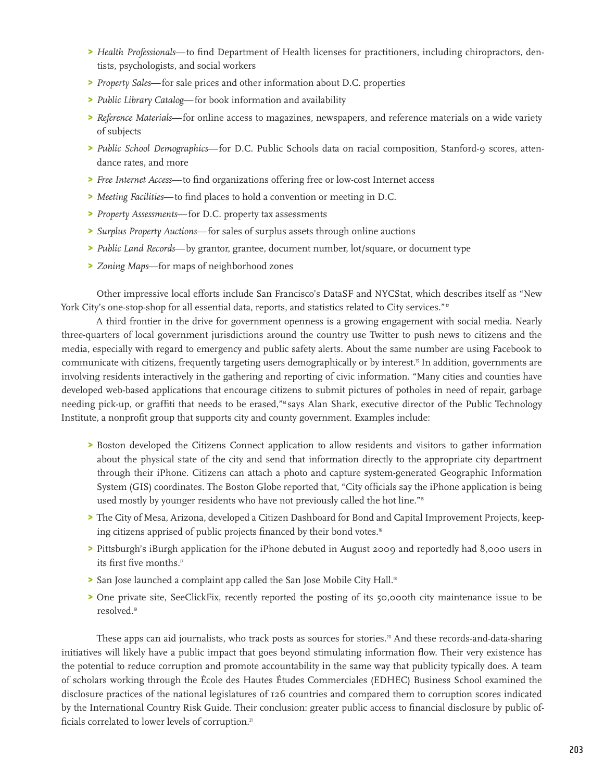- > *Health Professionals*—to find Department of Health licenses for practitioners, including chiropractors, dentists, psychologists, and social workers
- > *Property Sales*—for sale prices and other information about D.C. properties
- > *Public Library Catalog*—for book information and availability
- > *Reference Materials*—for online access to magazines, newspapers, and reference materials on a wide variety of subjects
- > *Public School Demographics*—for D.C. Public Schools data on racial composition, Stanford-9 scores, attendance rates, and more
- > *Free Internet Access*—to find organizations offering free or low-cost Internet access
- > *Meeting Facilities*—to find places to hold a convention or meeting in D.C.
- > *Property Assessments*—for D.C. property tax assessments
- > *Surplus Property Auctions*—for sales of surplus assets through online auctions
- > *Public Land Records*—by grantor, grantee, document number, lot/square, or document type
- > *Zoning Maps*—for maps of neighborhood zones

Other impressive local efforts include San Francisco's DataSF and NYCStat, which describes itself as "New York City's one-stop-shop for all essential data, reports, and statistics related to City services."<sup>12</sup>

A third frontier in the drive for government openness is a growing engagement with social media. Nearly three-quarters of local government jurisdictions around the country use Twitter to push news to citizens and the media, especially with regard to emergency and public safety alerts. About the same number are using Facebook to communicate with citizens, frequently targeting users demographically or by interest.<sup>13</sup> In addition, governments are involving residents interactively in the gathering and reporting of civic information. "Many cities and counties have developed web-based applications that encourage citizens to submit pictures of potholes in need of repair, garbage needing pick-up, or graffiti that needs to be erased,"14 says Alan Shark, executive director of the Public Technology Institute, a nonprofit group that supports city and county government. Examples include:

- > Boston developed the Citizens Connect application to allow residents and visitors to gather information about the physical state of the city and send that information directly to the appropriate city department through their iPhone. Citizens can attach a photo and capture system-generated Geographic Information System (GIS) coordinates. The Boston Globe reported that, "City officials say the iPhone application is being used mostly by younger residents who have not previously called the hot line."<sup>15</sup>
- > The City of Mesa, Arizona, developed a Citizen Dashboard for Bond and Capital Improvement Projects, keeping citizens apprised of public projects financed by their bond votes.<sup>16</sup>
- > Pittsburgh's iBurgh application for the iPhone debuted in August 2009 and reportedly had 8,000 users in its first five months.<sup>17</sup>
- > San Jose launched a complaint app called the San Jose Mobile City Hall.<sup>8</sup>
- > One private site, SeeClickFix, recently reported the posting of its 50,000th city maintenance issue to be resolved.<sup>19</sup>

These apps can aid journalists, who track posts as sources for stories.<sup>20</sup> And these records-and-data-sharing initiatives will likely have a public impact that goes beyond stimulating information flow. Their very existence has the potential to reduce corruption and promote accountability in the same way that publicity typically does. A team of scholars working through the École des Hautes Études Commerciales (EDHEC) Business School examined the disclosure practices of the national legislatures of 126 countries and compared them to corruption scores indicated by the International Country Risk Guide. Their conclusion: greater public access to financial disclosure by public officials correlated to lower levels of corruption.<sup>21</sup>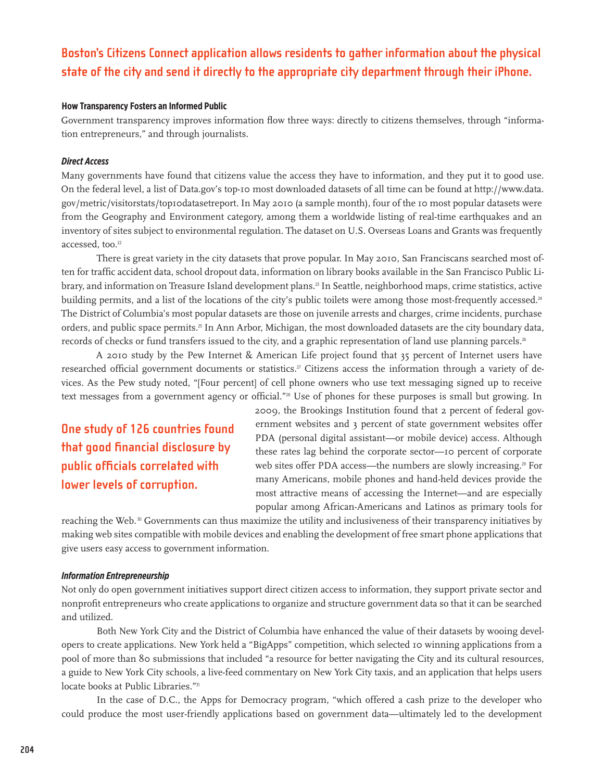## **Boston's Citizens Connect application allows residents to gather information about the physical state of the city and send it directly to the appropriate city department through their iPhone.**

#### **How Transparency Fosters an Informed Public**

Government transparency improves information flow three ways: directly to citizens themselves, through "information entrepreneurs," and through journalists.

#### *Direct Access*

Many governments have found that citizens value the access they have to information, and they put it to good use. On the federal level, a list of Data.gov's top-10 most downloaded datasets of all time can be found at [http://www.data.](http://www.data.gov/metric/visitorstats/top10datasetreport) [gov/metric/visitorstats/top10datasetreport.](http://www.data.gov/metric/visitorstats/top10datasetreport) In May 2010 (a sample month), four of the 10 most popular datasets were from the Geography and Environment category, among them a worldwide listing of real-time earthquakes and an inventory of sites subject to environmental regulation. The dataset on U.S. Overseas Loans and Grants was frequently accessed, too.<sup>22</sup>

There is great variety in the city datasets that prove popular. In May 2010, San Franciscans searched most often for traffic accident data, school dropout data, information on library books available in the San Francisco Public Library, and information on Treasure Island development plans.23 In Seattle, neighborhood maps, crime statistics, active building permits, and a list of the locations of the city's public toilets were among those most-frequently accessed.<sup>24</sup> The District of Columbia's most popular datasets are those on juvenile arrests and charges, crime incidents, purchase orders, and public space permits.<sup>3</sup> In Ann Arbor, Michigan, the most downloaded datasets are the city boundary data, records of checks or fund transfers issued to the city, and a graphic representation of land use planning parcels.<sup>26</sup>

A 2010 study by the Pew Internet & American Life project found that 35 percent of Internet users have researched official government documents or statistics.<sup>27</sup> Citizens access the information through a variety of devices. As the Pew study noted, "[Four percent] of cell phone owners who use text messaging signed up to receive text messages from a government agency or official."<sup>28</sup> Use of phones for these purposes is small but growing. In

**One study of 126 countries found that good financial disclosure by public officials correlated with lower levels of corruption.**

2009, the Brookings Institution found that 2 percent of federal government websites and 3 percent of state government websites offer PDA (personal digital assistant—or mobile device) access. Although these rates lag behind the corporate sector—10 percent of corporate web sites offer PDA access—the numbers are slowly increasing.<sup>29</sup> For many Americans, mobile phones and hand-held devices provide the most attractive means of accessing the Internet—and are especially popular among African-Americans and Latinos as primary tools for

reaching the Web.<sup>30</sup> Governments can thus maximize the utility and inclusiveness of their transparency initiatives by making web sites compatible with mobile devices and enabling the development of free smart phone applications that give users easy access to government information.

#### *Information Entrepreneurship*

Not only do open government initiatives support direct citizen access to information, they support private sector and nonprofit entrepreneurs who create applications to organize and structure government data so that it can be searched and utilized.

Both New York City and the District of Columbia have enhanced the value of their datasets by wooing developers to create applications. New York held a "BigApps" competition, which selected 10 winning applications from a pool of more than 80 submissions that included "a resource for better navigating the City and its cultural resources, a guide to New York City schools, a live-feed commentary on New York City taxis, and an application that helps users locate books at Public Libraries."<sup>31</sup>

In the case of D.C., the Apps for Democracy program, "which offered a cash prize to the developer who could produce the most user-friendly applications based on government data—ultimately led to the development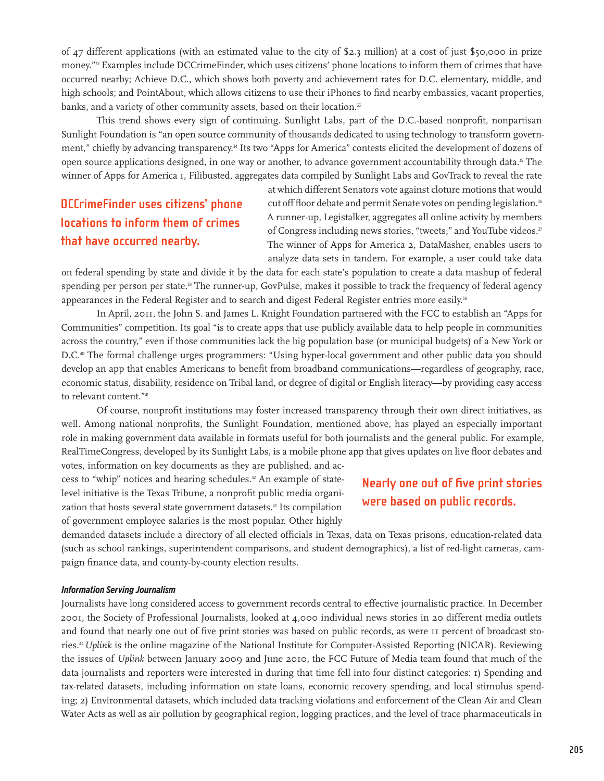of 47 different applications (with an estimated value to the city of \$2.3 million) at a cost of just \$50,000 in prize money."<sup>32</sup> Examples include DCCrimeFinder, which uses citizens' phone locations to inform them of crimes that have occurred nearby; Achieve D.C., which shows both poverty and achievement rates for D.C. elementary, middle, and high schools; and PointAbout, which allows citizens to use their iPhones to find nearby embassies, vacant properties, banks, and a variety of other community assets, based on their location.<sup>33</sup>

This trend shows every sign of continuing. Sunlight Labs, part of the D.C.-based nonprofit, nonpartisan Sunlight Foundation is "an open source community of thousands dedicated to using technology to transform government," chiefly by advancing transparency.<sup>34</sup> Its two "Apps for America" contests elicited the development of dozens of open source applications designed, in one way or another, to advance government accountability through data.<sup>35</sup> The winner of Apps for America 1, Filibusted, aggregates data compiled by Sunlight Labs and GovTrack to reveal the rate

# **DCCrimeFinder uses citizens' phone locations to inform them of crimes that have occurred nearby.**

at which different Senators vote against cloture motions that would cut off floor debate and permit Senate votes on pending legislation.<sup>36</sup> A runner-up, Legistalker, aggregates all online activity by members of Congress including news stories, "tweets," and YouTube videos.<sup>37</sup> The winner of Apps for America 2, DataMasher, enables users to analyze data sets in tandem. For example, a user could take data

on federal spending by state and divide it by the data for each state's population to create a data mashup of federal spending per person per state.<sup>38</sup> The runner-up, GovPulse, makes it possible to track the frequency of federal agency appearances in the Federal Register and to search and digest Federal Register entries more easily.<sup>39</sup>

In April, 2011, the John S. and James L. Knight Foundation partnered with the FCC to establish an "Apps for Communities" competition. Its goal "is to create apps that use publicly available data to help people in communities across the country," even if those communities lack the big population base (or municipal budgets) of a New York or D.C.40 The formal challenge urges programmers: "Using hyper-local government and other public data you should develop an app that enables Americans to benefit from broadband communications—regardless of geography, race, economic status, disability, residence on Tribal land, or degree of digital or English literacy—by providing easy access to relevant content."41

Of course, nonprofit institutions may foster increased transparency through their own direct initiatives, as well. Among national nonprofits, the Sunlight Foundation, mentioned above, has played an especially important role in making government data available in formats useful for both journalists and the general public. For example, RealTimeCongress, developed by its Sunlight Labs, is a mobile phone app that gives updates on live floor debates and votes, information on key documents as they are published, and ac-

cess to "whip" notices and hearing schedules.<sup>42</sup> An example of statelevel initiative is the Texas Tribune, a nonprofit public media organization that hosts several state government datasets.43 Its compilation of government employee salaries is the most popular. Other highly

### **Nearly one out of five print stories were based on public records.**

demanded datasets include a directory of all elected officials in Texas, data on Texas prisons, education-related data (such as school rankings, superintendent comparisons, and student demographics), a list of red-light cameras, campaign finance data, and county-by-county election results.

#### *Information Serving Journalism*

Journalists have long considered access to government records central to effective journalistic practice. In December 2001, the Society of Professional Journalists, looked at 4,000 individual news stories in 20 different media outlets and found that nearly one out of five print stories was based on public records, as were 11 percent of broadcast stories.44 *Uplink* is the online magazine of the National Institute for Computer-Assisted Reporting (NICAR). Reviewing the issues of *Uplink* between January 2009 and June 2010, the FCC Future of Media team found that much of the data journalists and reporters were interested in during that time fell into four distinct categories: 1) Spending and tax-related datasets, including information on state loans, economic recovery spending, and local stimulus spending; 2) Environmental datasets, which included data tracking violations and enforcement of the Clean Air and Clean Water Acts as well as air pollution by geographical region, logging practices, and the level of trace pharmaceuticals in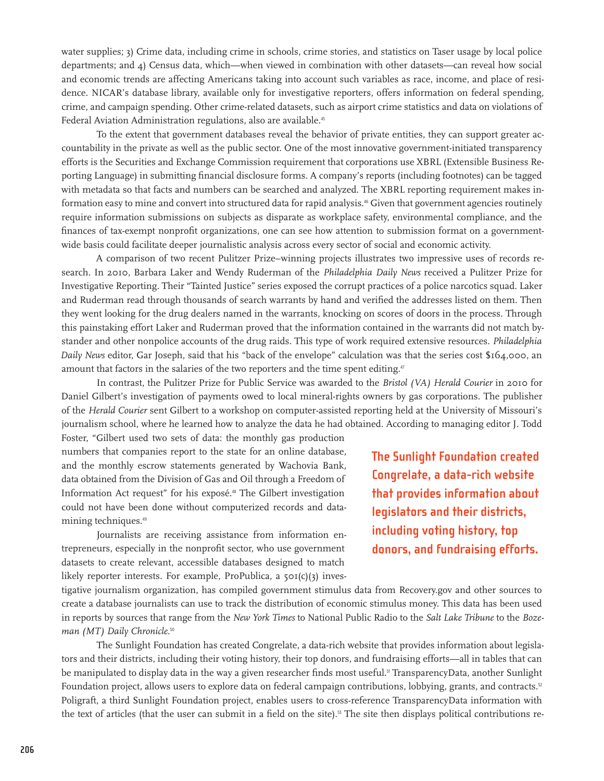water supplies; 3) Crime data, including crime in schools, crime stories, and statistics on Taser usage by local police departments; and 4) Census data, which—when viewed in combination with other datasets—can reveal how social and economic trends are affecting Americans taking into account such variables as race, income, and place of residence. NICAR's database library, available only for investigative reporters, offers information on federal spending, crime, and campaign spending. Other crime-related datasets, such as airport crime statistics and data on violations of Federal Aviation Administration regulations, also are available.<sup>45</sup>

To the extent that government databases reveal the behavior of private entities, they can support greater accountability in the private as well as the public sector. One of the most innovative government-initiated transparency efforts is the Securities and Exchange Commission requirement that corporations use XBRL (Extensible Business Reporting Language) in submitting financial disclosure forms. A company's reports (including footnotes) can be tagged with metadata so that facts and numbers can be searched and analyzed. The XBRL reporting requirement makes information easy to mine and convert into structured data for rapid analysis.<sup>46</sup> Given that government agencies routinely require information submissions on subjects as disparate as workplace safety, environmental compliance, and the finances of tax-exempt nonprofit organizations, one can see how attention to submission format on a governmentwide basis could facilitate deeper journalistic analysis across every sector of social and economic activity.

A comparison of two recent Pulitzer Prize–winning projects illustrates two impressive uses of records research. In 2010, Barbara Laker and Wendy Ruderman of the *Philadelphia Daily News* received a Pulitzer Prize for Investigative Reporting. Their "Tainted Justice" series exposed the corrupt practices of a police narcotics squad. Laker and Ruderman read through thousands of search warrants by hand and verified the addresses listed on them. Then they went looking for the drug dealers named in the warrants, knocking on scores of doors in the process. Through this painstaking effort Laker and Ruderman proved that the information contained in the warrants did not match bystander and other nonpolice accounts of the drug raids. This type of work required extensive resources. *Philadelphia Daily News* editor, Gar Joseph, said that his "back of the envelope" calculation was that the series cost \$164,000, an amount that factors in the salaries of the two reporters and the time spent editing.<sup>47</sup>

In contrast, the Pulitzer Prize for Public Service was awarded to the *Bristol (VA) Herald Courier* in 2010 for Daniel Gilbert's investigation of payments owed to local mineral-rights owners by gas corporations. The publisher of the *Herald Courier* sent Gilbert to a workshop on computer-assisted reporting held at the University of Missouri's journalism school, where he learned how to analyze the data he had obtained. According to managing editor J. Todd

Foster, "Gilbert used two sets of data: the monthly gas production numbers that companies report to the state for an online database, and the monthly escrow statements generated by Wachovia Bank, data obtained from the Division of Gas and Oil through a Freedom of Information Act request" for his exposé.<sup>48</sup> The Gilbert investigation could not have been done without computerized records and datamining techniques.<sup>49</sup>

Journalists are receiving assistance from information entrepreneurs, especially in the nonprofit sector, who use government datasets to create relevant, accessible databases designed to match likely reporter interests. For example, ProPublica, a 501(c)(3) inves**The Sunlight Foundation created Congrelate, a data-rich website that provides information about legislators and their districts, including voting history, top donors, and fundraising efforts.**

tigative journalism organization, has compiled government stimulus data from Recovery.gov and other sources to create a database journalists can use to track the distribution of economic stimulus money. This data has been used in reports by sources that range from the *New York Times* to National Public Radio to the *Salt Lake Tribune* to the *Bozeman (MT) Daily Chronicle*. 50

The Sunlight Foundation has created [Congrelate](http://congrelate.org/), a data-rich website that provides information about legislators and their districts, including their voting history, their top donors, and fundraising efforts—all in tables that can be manipulated to display data in the way a given researcher finds most useful.<sup>51</sup> [TransparencyData,](http://transparencydata.com/) another Sunlight Foundation project, allows users to explore data on federal campaign contributions, lobbying, grants, and contracts.<sup>52</sup> [Poligraft,](http://poligraft.com/about) a third Sunlight Foundation project, enables users to cross-reference TransparencyData information with the text of articles (that the user can submit in a field on the site).<sup>53</sup> The site then displays political contributions re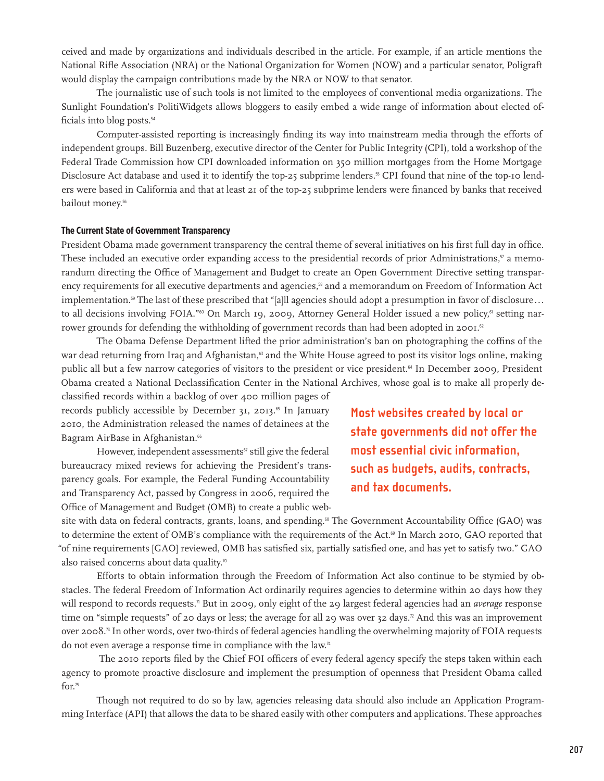ceived and made by organizations and individuals described in the article. For example, if an article mentions the National Rifle Association (NRA) or the National Organization for Women (NOW) and a particular senator, Poligraft would display the campaign contributions made by the NRA or NOW to that senator.

The journalistic use of such tools is not limited to the employees of conventional media organizations. The Sunlight Foundation's [PolitiWidgets](http://politiwidgets.com/) allows bloggers to easily embed a wide range of information about elected officials into blog posts.<sup>54</sup>

Computer-assisted reporting is increasingly finding its way into mainstream media through the efforts of independent groups. Bill Buzenberg, executive director of the Center for Public Integrity (CPI), told a workshop of the Federal Trade Commission how CPI downloaded information on 350 million mortgages from the Home Mortgage Disclosure Act database and used it to identify the top-25 subprime lenders.<sup>55</sup> CPI found that nine of the top-10 lenders were based in California and that at least 21 of the top-25 subprime lenders were financed by banks that received bailout money.<sup>56</sup>

#### **The Current State of Government Transparency**

President Obama made government transparency the central theme of several initiatives on his first full day in office. These included an executive order expanding access to the presidential records of prior Administrations, $57$  a memorandum directing the Office of Management and Budget to create an Open Government Directive setting transparency requirements for all executive departments and agencies,<sup>58</sup> and a memorandum on Freedom of Information Act implementation.<sup>59</sup> The last of these prescribed that "[a]ll agencies should adopt a presumption in favor of disclosure... to all decisions involving FOIA."<sup>60</sup> On March 19, 2009, Attorney General Holder issued a new policy,<sup>61</sup> setting narrower grounds for defending the withholding of government records than had been adopted in 2001.<sup>62</sup>

The Obama Defense Department lifted the prior administration's ban on photographing the coffins of the war dead returning from Iraq and Afghanistan,<sup>63</sup> and the White House agreed to post its visitor logs online, making public all but a few narrow categories of visitors to the president or vice president.<sup>64</sup> In December 2009, President Obama created a National Declassification Center in the National Archives, whose goal is to make all properly de-

classified records within a backlog of over 400 million pages of records publicly accessible by December 31, 2013.<sup>65</sup> In January 2010, the Administration released the names of detainees at the Bagram AirBase in Afghanistan.<sup>66</sup>

However, independent assessments<sup>67</sup> still give the federal bureaucracy mixed reviews for achieving the President's transparency goals. For example, the Federal Funding Accountability and Transparency Act, passed by Congress in 2006, required the Office of Management and Budget (OMB) to create a public web**Most websites created by local or state governments did not offer the most essential civic information, such as budgets, audits, contracts, and tax documents.**

site with data on federal contracts, grants, loans, and spending.<sup>68</sup> The Government Accountability Office (GAO) was to determine the extent of OMB's compliance with the requirements of the Act.<sup>69</sup> In March 2010, GAO reported that "of nine requirements [GAO] reviewed, OMB has satisfied six, partially satisfied one, and has yet to satisfy two." GAO also raised concerns about data quality.<sup>70</sup>

Efforts to obtain information through the Freedom of Information Act also continue to be stymied by obstacles. The federal Freedom of Information Act ordinarily requires agencies to determine within 20 days how they will respond to records requests.<sup>7</sup> But in 2009, only eight of the 29 largest federal agencies had an *average* response time on "simple requests" of 20 days or less; the average for all 29 was over 32 days." And this was an improvement over 2008.73 In other words, over two-thirds of federal agencies handling the overwhelming majority of FOIA requests do not even average a response time in compliance with the law.<sup>74</sup>

 The 2010 reports filed by the Chief FOI officers of every federal agency specify the steps taken within each agency to promote proactive disclosure and implement the presumption of openness that President Obama called for.<sup>75</sup>

Though not required to do so by law, agencies releasing data should also include an Application Programming Interface (API) that allows the data to be shared easily with other computers and applications. These approaches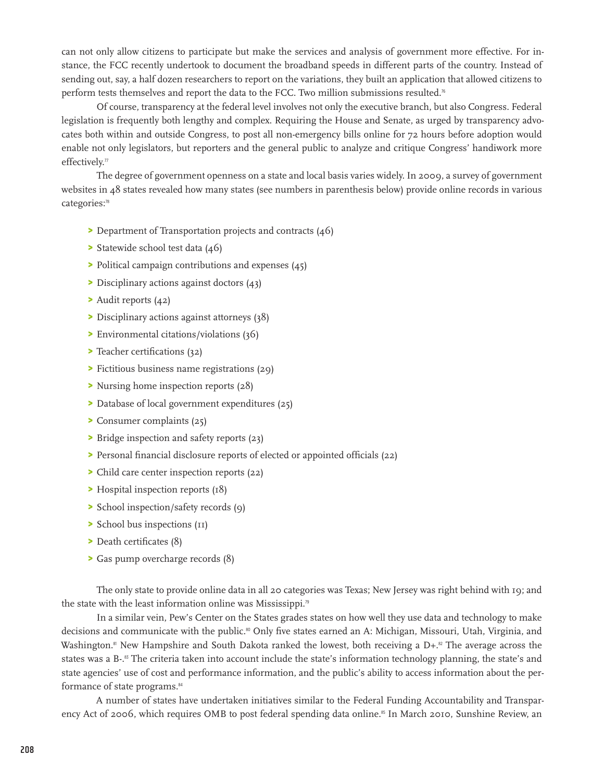can not only allow citizens to participate but make the services and analysis of government more effective. For instance, the FCC recently undertook to document the broadband speeds in different parts of the country. Instead of sending out, say, a half dozen researchers to report on the variations, they built an application that allowed citizens to perform tests themselves and report the data to the FCC. Two million submissions resulted.<sup>76</sup>

Of course, transparency at the federal level involves not only the executive branch, but also Congress. Federal legislation is frequently both lengthy and complex. Requiring the House and Senate, as urged by transparency advocates both within and outside Congress, to post all non-emergency bills online for 72 hours before adoption would enable not only legislators, but reporters and the general public to analyze and critique Congress' handiwork more effectively. $\eta$ 

The degree of government openness on a state and local basis varies widely. In 2009, a survey of government websites in 48 states revealed how many states (see numbers in parenthesis below) provide online records in various categories:<sup>78</sup>

- > Department of Transportation projects and contracts (46)
- > Statewide school test data (46)
- > Political campaign contributions and expenses (45)
- > Disciplinary actions against doctors (43)
- > Audit reports (42)
- > Disciplinary actions against attorneys (38)
- > Environmental citations/violations (36)
- > Teacher certifications (32)
- > Fictitious business name registrations (29)
- > Nursing home inspection reports (28)
- > Database of local government expenditures (25)
- > Consumer complaints (25)
- > Bridge inspection and safety reports (23)
- > Personal financial disclosure reports of elected or appointed officials (22)
- > Child care center inspection reports (22)
- > Hospital inspection reports (18)
- > School inspection/safety records (9)
- > School bus inspections (11)
- > Death certificates (8)
- > Gas pump overcharge records (8)

The only state to provide online data in all 20 categories was Texas; New Jersey was right behind with 19; and the state with the least information online was Mississippi.<sup>79</sup>

In a similar vein, Pew's Center on the States grades states on how well they use data and technology to make decisions and communicate with the public.<sup>80</sup> Only five states earned an A: Michigan, Missouri, Utah, Virginia, and Washington.<sup>81</sup> New Hampshire and South Dakota ranked the lowest, both receiving a D+.<sup>82</sup> The average across the states was a B-.<sup>83</sup> The criteria taken into account include the state's information technology planning, the state's and state agencies' use of cost and performance information, and the public's ability to access information about the performance of state programs.<sup>84</sup>

A number of states have undertaken initiatives similar to the Federal Funding Accountability and Transparency Act of 2006, which requires OMB to post federal spending data online.<sup>85</sup> In March 2010, Sunshine Review, an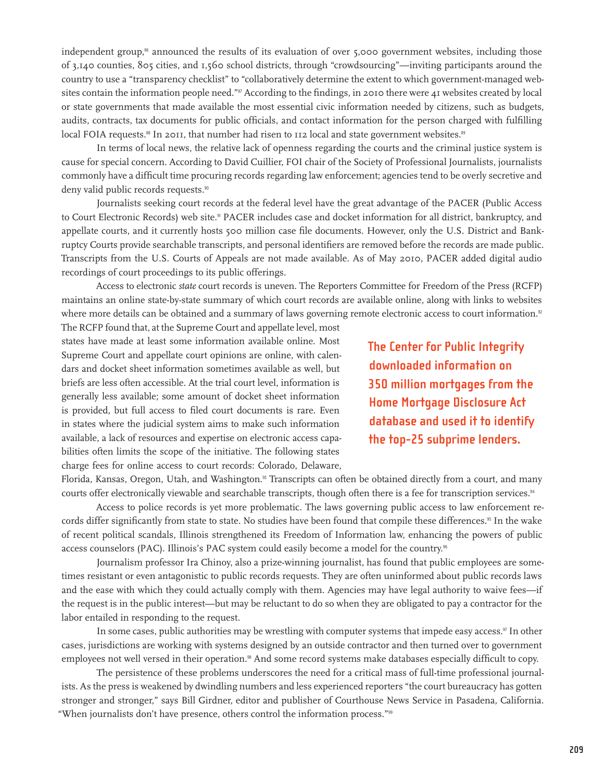independent group,<sup> $\ast$ </sup> announced the results of its evaluation of over 5,000 government websites, including those of 3,140 counties, 805 cities, and 1,560 school districts, through "crowdsourcing"—inviting participants around the country to use a "transparency checklist" to "collaboratively determine the extent to which government-managed websites contain the information people need."<sup>87</sup> According to the findings, in 2010 there were 41 websites created by local or state governments that made available the most essential civic information needed by citizens, such as budgets, audits, contracts, tax documents for public officials, and contact information for the person charged with fulfilling local FOIA requests.<sup>88</sup> In 2011, that number had risen to 112 local and state government websites.<sup>89</sup>

In terms of local news, the relative lack of openness regarding the courts and the criminal justice system is cause for special concern. According to David Cuillier, FOI chair of the Society of Professional Journalists, journalists commonly have a difficult time procuring records regarding law enforcement; agencies tend to be overly secretive and deny valid public records requests.<sup>90</sup>

Journalists seeking court records at the federal level have the great advantage of the [PACER](http://www.pacer.gov/) (Public Access to Court Electronic Records) web site.<sup>91</sup> PACER includes case and docket information for all district, bankruptcy, and appellate courts, and it currently hosts 500 million case file documents. However, only the U.S. District and Bankruptcy Courts provide searchable transcripts, and personal identifiers are removed before the records are made public. Transcripts from the U.S. Courts of Appeals are not made available. As of May 2010, PACER added digital audio recordings of court proceedings to its public offerings.

Access to electronic *state* court records is uneven. The Reporters Committee for Freedom of the Press (RCFP) maintains an online state-by-state summary of which court records are available online, along with links to websites where more details can be obtained and a summary of laws governing remote electronic access to court information.<sup>92</sup>

The RCFP found that, at the Supreme Court and appellate level, most states have made at least some information available online. Most Supreme Court and appellate court opinions are online, with calendars and docket sheet information sometimes available as well, but briefs are less often accessible. At the trial court level, information is generally less available; some amount of docket sheet information is provided, but full access to filed court documents is rare. Even in states where the judicial system aims to make such information available, a lack of resources and expertise on electronic access capabilities often limits the scope of the initiative. The following states charge fees for online access to court records: Colorado, Delaware,

**The Center for Public Integrity downloaded information on 350 million mortgages from the Home Mortgage Disclosure Act database and used it to identify the top-25 subprime lenders.**

Florida, Kansas, Oregon, Utah, and Washington.<sup>93</sup> Transcripts can often be obtained directly from a court, and many courts offer electronically viewable and searchable transcripts, though often there is a fee for transcription services.<sup>94</sup>

Access to police records is yet more problematic. The laws governing public access to law enforcement records differ significantly from state to state. No studies have been found that compile these differences.<sup>95</sup> In the wake of recent political scandals, Illinois strengthened its Freedom of Information law, enhancing the powers of public access counselors (PAC). Illinois's PAC system could easily become a model for the country. 96

Journalism professor Ira Chinoy, also a prize-winning journalist, has found that public employees are sometimes resistant or even antagonistic to public records requests. They are often uninformed about public records laws and the ease with which they could actually comply with them. Agencies may have legal authority to waive fees—if the request is in the public interest—but may be reluctant to do so when they are obligated to pay a contractor for the labor entailed in responding to the request.

In some cases, public authorities may be wrestling with computer systems that impede easy access. $\frac{97}{10}$  In other cases, jurisdictions are working with systems designed by an outside contractor and then turned over to government employees not well versed in their operation.<sup>98</sup> And some record systems make databases especially difficult to copy.

The persistence of these problems underscores the need for a critical mass of full-time professional journalists. As the press is weakened by dwindling numbers and less experienced reporters "the court bureaucracy has gotten stronger and stronger," says Bill Girdner, editor and publisher of Courthouse News Service in Pasadena, California. "When journalists don't have presence, others control the information process."<sup>99</sup>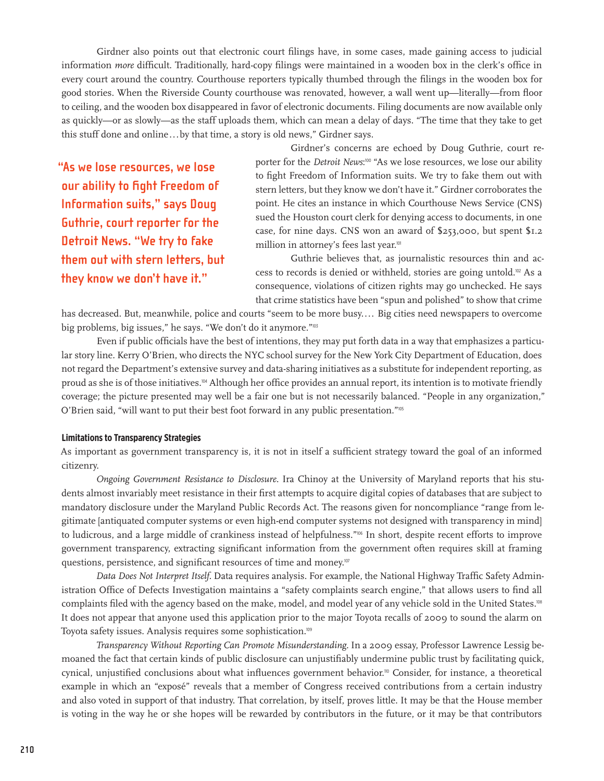Girdner also points out that electronic court filings have, in some cases, made gaining access to judicial information *more* difficult. Traditionally, hard-copy filings were maintained in a wooden box in the clerk's office in every court around the country. Courthouse reporters typically thumbed through the filings in the wooden box for good stories. When the Riverside County courthouse was renovated, however, a wall went up—literally—from floor to ceiling, and the wooden box disappeared in favor of electronic documents. Filing documents are now available only as quickly—or as slowly—as the staff uploads them, which can mean a delay of days. "The time that they take to get this stuff done and online...by that time, a story is old news," Girdner says.

**"As we lose resources, we lose our ability to fight Freedom of Information suits," says Doug Guthrie, court reporter for the Detroit News. "We try to fake them out with stern letters, but they know we don't have it."**

Girdner's concerns are echoed by Doug Guthrie, court reporter for the *Detroit News*:<sup>100</sup> "As we lose resources, we lose our ability to fight Freedom of Information suits. We try to fake them out with stern letters, but they know we don't have it." Girdner corroborates the point. He cites an instance in which Courthouse News Service (CNS) sued the Houston court clerk for denying access to documents, in one case, for nine days. CNS won an award of \$253,000, but spent \$1.2 million in attorney's fees last year.<sup>101</sup>

Guthrie believes that, as journalistic resources thin and access to records is denied or withheld, stories are going untold.102 As a consequence, violations of citizen rights may go unchecked. He says that crime statistics have been "spun and polished" to show that crime

has decreased. But, meanwhile, police and courts "seem to be more busy.... Big cities need newspapers to overcome big problems, big issues," he says. "We don't do it anymore."<sup>103</sup>

Even if public officials have the best of intentions, they may put forth data in a way that emphasizes a particular story line. Kerry O'Brien, who directs the NYC school survey for the New York City Department of Education, does not regard the Department's extensive survey and data-sharing initiatives as a substitute for independent reporting, as proud as she is of those initiatives.104 Although her office provides an annual report, its intention is to motivate friendly coverage; the picture presented may well be a fair one but is not necessarily balanced. "People in any organization," O'Brien said, "will want to put their best foot forward in any public presentation."<sup>105</sup>

#### **Limitations to Transparency Strategies**

As important as government transparency is, it is not in itself a sufficient strategy toward the goal of an informed citizenry.

*Ongoing Government Resistance to Disclosure.* Ira Chinoy at the University of Maryland reports that his students almost invariably meet resistance in their first attempts to acquire digital copies of databases that are subject to mandatory disclosure under the Maryland Public Records Act. The reasons given for noncompliance "range from legitimate [antiquated computer systems or even high-end computer systems not designed with transparency in mind] to ludicrous, and a large middle of crankiness instead of helpfulness."<sup>106</sup> In short, despite recent efforts to improve government transparency, extracting significant information from the government often requires skill at framing questions, persistence, and significant resources of time and money.<sup>107</sup>

*Data Does Not Interpret Itself.* Data requires analysis. For example, the National Highway Traffic Safety Administration Office of Defects Investigation maintains a "safety complaints search engine," that allows users to find all complaints filed with the agency based on the make, model, and model year of any vehicle sold in the United States.<sup>108</sup> It does not appear that anyone used this application prior to the major Toyota recalls of 2009 to sound the alarm on Toyota safety issues. Analysis requires some sophistication.<sup>109</sup>

*Transparency Without Reporting Can Promote Misunderstanding.* In a 2009 essay, Professor Lawrence Lessig bemoaned the fact that certain kinds of public disclosure can unjustifiably undermine public trust by facilitating quick, cynical, unjustified conclusions about what influences government behavior.<sup>10</sup> Consider, for instance, a theoretical example in which an "exposé" reveals that a member of Congress received contributions from a certain industry and also voted in support of that industry. That correlation, by itself, proves little. It may be that the House member is voting in the way he or she hopes will be rewarded by contributors in the future, or it may be that contributors